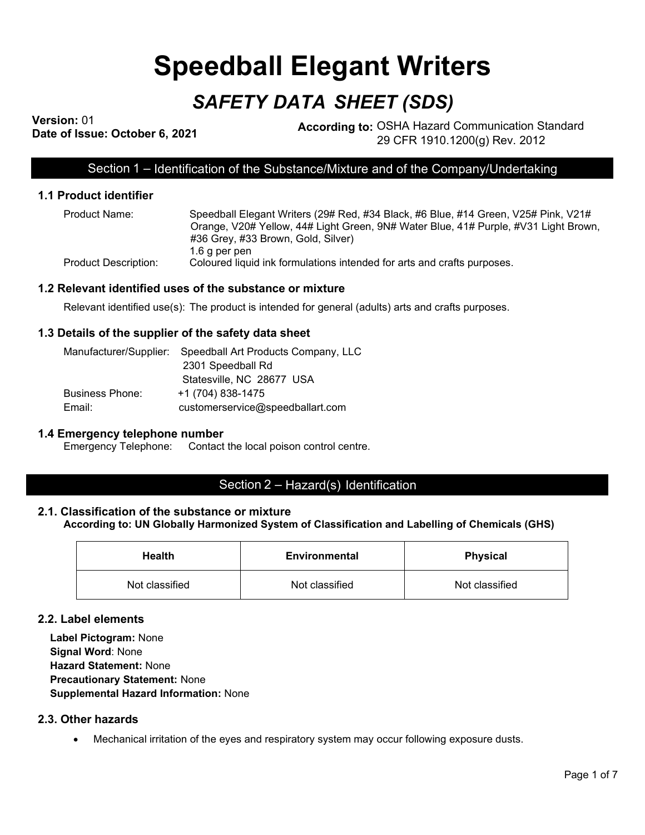# **Speedball Elegant Writers**

# *SAFETY DATA SHEET (SDS)*

**Version:** 01

**According to: OSHA Hazard Communication Standard** 29 CFR 1910.1200(g) Rev. 2012

Section 1 – Identification of the Substance/Mixture and of the Company/Undertaking

# **1.1 Product identifier**

| Product Name:        | Speedball Elegant Writers (29# Red, #34 Black, #6 Blue, #14 Green, V25# Pink, V21#  |
|----------------------|-------------------------------------------------------------------------------------|
|                      | Orange, V20# Yellow, 44# Light Green, 9N# Water Blue, 41# Purple, #V31 Light Brown, |
|                      | #36 Grey, #33 Brown, Gold, Silver)                                                  |
|                      | 1.6 a per pen                                                                       |
| Product Description: | Coloured liquid ink formulations intended for arts and crafts purposes.             |

#### **1.2 Relevant identified uses of the substance or mixture**

Relevant identified use(s): The product is intended for general (adults) arts and crafts purposes.

#### **1.3 Details of the supplier of the safety data sheet**

|                        | Manufacturer/Supplier: Speedball Art Products Company, LLC |
|------------------------|------------------------------------------------------------|
|                        | 2301 Speedball Rd                                          |
|                        | Statesville, NC 28677 USA                                  |
| <b>Business Phone:</b> | +1 (704) 838-1475                                          |
| Email:                 | customerservice@speedballart.com                           |

#### **1.4 Emergency telephone number**

Emergency Telephone: Contact the local poison control centre.

# Section 2 – Hazard(s) Identification

#### **2.1. Classification of the substance or mixture**

**According to: UN Globally Harmonized System of Classification and Labelling of Chemicals (GHS)**

| <b>Health</b>  | <b>Environmental</b> | <b>Physical</b> |
|----------------|----------------------|-----------------|
| Not classified | Not classified       | Not classified  |

#### **2.2. Label elements**

**Label Pictogram:** None **Signal Word**: None **Hazard Statement:** None **Precautionary Statement:** None **Supplemental Hazard Information:** None

# **2.3. Other hazards**

• Mechanical irritation of the eyes and respiratory system may occur following exposure dusts.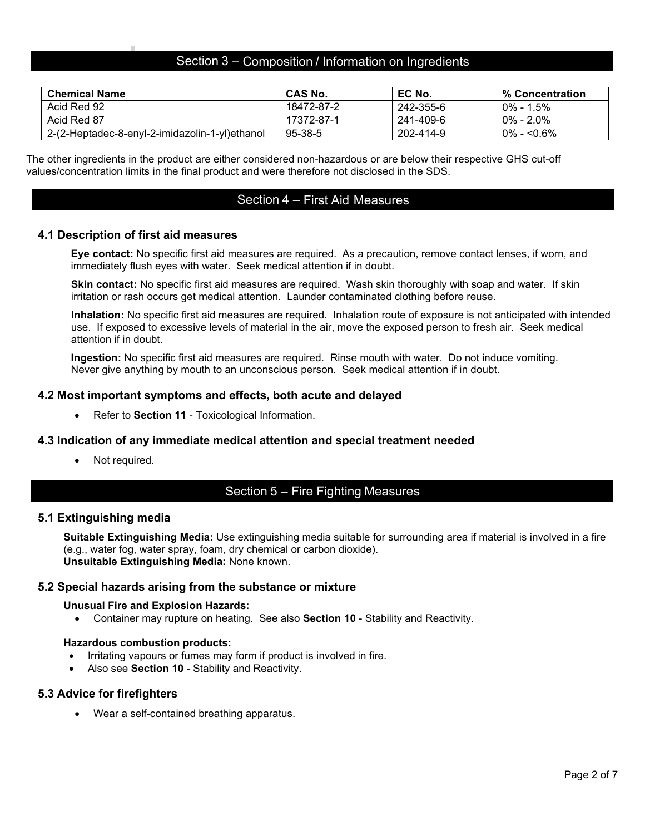# Section 3 – Composition / Information on Ingredients

| <b>Chemical Name</b>                           | <b>CAS No.</b> | EC No.    | % Concentration |
|------------------------------------------------|----------------|-----------|-----------------|
| Acid Red 92                                    | 18472-87-2     | 242-355-6 | $0\% - 1.5\%$   |
| Acid Red 87                                    | 17372-87-1     | 241-409-6 | $0\% - 2.0\%$   |
| 2-(2-Heptadec-8-enyl-2-imidazolin-1-yl)ethanol | 95-38-5        | 202-414-9 | $0\% - 50.6\%$  |

The other ingredients in the product are either considered non-hazardous or are below their respective GHS cut-off values/concentration limits in the final product and were therefore not disclosed in the SDS.

# Section 4 – First Aid Measures

#### **4.1 Description of first aid measures**

**Eye contact:** No specific first aid measures are required. As a precaution, remove contact lenses, if worn, and immediately flush eyes with water. Seek medical attention if in doubt.

**Skin contact:** No specific first aid measures are required. Wash skin thoroughly with soap and water. If skin irritation or rash occurs get medical attention. Launder contaminated clothing before reuse.

**Inhalation:** No specific first aid measures are required. Inhalation route of exposure is not anticipated with intended use. If exposed to excessive levels of material in the air, move the exposed person to fresh air. Seek medical attention if in doubt.

**Ingestion:** No specific first aid measures are required. Rinse mouth with water. Do not induce vomiting. Never give anything by mouth to an unconscious person. Seek medical attention if in doubt.

#### **4.2 Most important symptoms and effects, both acute and delayed**

• Refer to **Section 11** - Toxicological Information.

#### **4.3 Indication of any immediate medical attention and special treatment needed**

Not required.

# Section 5 – Fire Fighting Measures

#### **5.1 Extinguishing media**

**Suitable Extinguishing Media:** Use extinguishing media suitable for surrounding area if material is involved in a fire (e.g., water fog, water spray, foam, dry chemical or carbon dioxide). **Unsuitable Extinguishing Media:** None known.

#### **5.2 Special hazards arising from the substance or mixture**

#### **Unusual Fire and Explosion Hazards:**

• Container may rupture on heating. See also **Section 10** - Stability and Reactivity.

#### **Hazardous combustion products:**

- Irritating vapours or fumes may form if product is involved in fire.
- Also see **Section 10** Stability and Reactivity.

#### **5.3 Advice for firefighters**

• Wear a self-contained breathing apparatus.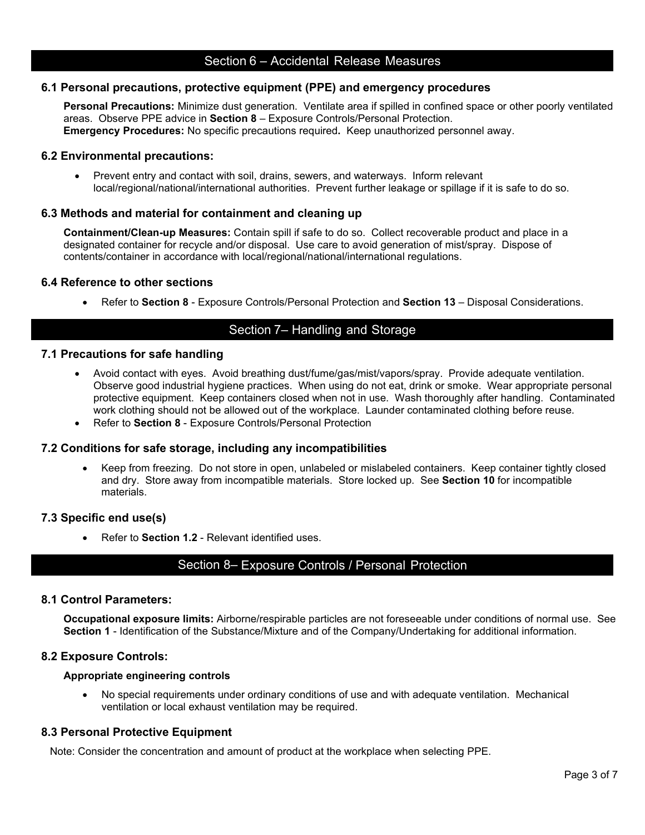### **6.1 Personal precautions, protective equipment (PPE) and emergency procedures**

**Personal Precautions:** Minimize dust generation.Ventilate area if spilled in confined space or other poorly ventilated areas. Observe PPE advice in **Section 8** – Exposure Controls/Personal Protection. **Emergency Procedures:** No specific precautions required**.** Keep unauthorized personnel away.

# **6.2 Environmental precautions:**

• Prevent entry and contact with soil, drains, sewers, and waterways. Inform relevant local/regional/national/international authorities. Prevent further leakage or spillage if it is safe to do so.

# **6.3 Methods and material for containment and cleaning up**

**Containment/Clean-up Measures:** Contain spill if safe to do so. Collect recoverable product and place in a designated container for recycle and/or disposal. Use care to avoid generation of mist/spray. Dispose of contents/container in accordance with local/regional/national/international regulations.

#### **6.4 Reference to other sections**

• Refer to **Section 8** - Exposure Controls/Personal Protection and **Section 13** – Disposal Considerations.

# Section 7– Handling and Storage

#### **7.1 Precautions for safe handling**

- Avoid contact with eyes. Avoid breathing dust/fume/gas/mist/vapors/spray. Provide adequate ventilation. Observe good industrial hygiene practices. When using do not eat, drink or smoke. Wear appropriate personal protective equipment. Keep containers closed when not in use. Wash thoroughly after handling. Contaminated work clothing should not be allowed out of the workplace. Launder contaminated clothing before reuse.
- Refer to **Section 8** Exposure Controls/Personal Protection

#### **7.2 Conditions for safe storage, including any incompatibilities**

• Keep from freezing. Do not store in open, unlabeled or mislabeled containers. Keep container tightly closed and dry. Store away from incompatible materials. Store locked up. See **Section 10** for incompatible materials.

#### **7.3 Specific end use(s)**

• Refer to **Section 1.2** - Relevant identified uses.

# Section 8– Exposure Controls / Personal Protection

#### **8.1 Control Parameters:**

**Occupational exposure limits:** Airborne/respirable particles are not foreseeable under conditions of normal use. See **Section 1** - Identification of the Substance/Mixture and of the Company/Undertaking for additional information.

#### **8.2 Exposure Controls:**

#### **Appropriate engineering controls**

• No special requirements under ordinary conditions of use and with adequate ventilation. Mechanical ventilation or local exhaust ventilation may be required.

#### **8.3 Personal Protective Equipment**

Note: Consider the concentration and amount of product at the workplace when selecting PPE.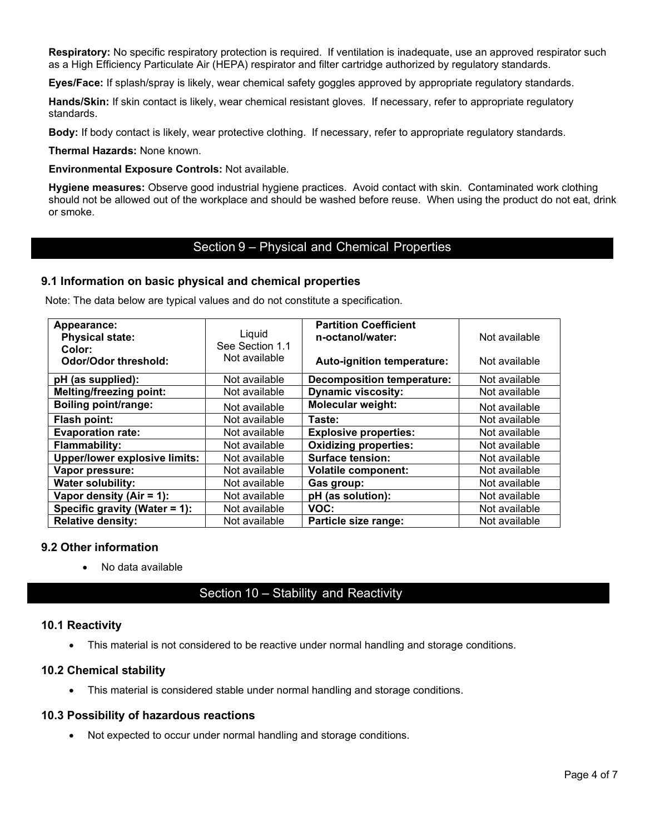**Respiratory:** No specific respiratory protection is required. If ventilation is inadequate, use an approved respirator such as a High Efficiency Particulate Air (HEPA) respirator and filter cartridge authorized by regulatory standards.

**Eyes/Face:** If splash/spray is likely, wear chemical safety goggles approved by appropriate regulatory standards.

**Hands/Skin:** If skin contact is likely, wear chemical resistant gloves. If necessary, refer to appropriate regulatory standards.

**Body:** If body contact is likely, wear protective clothing. If necessary, refer to appropriate regulatory standards.

**Thermal Hazards:** None known.

**Environmental Exposure Controls:** Not available.

**Hygiene measures:** Observe good industrial hygiene practices. Avoid contact with skin. Contaminated work clothing should not be allowed out of the workplace and should be washed before reuse. When using the product do not eat, drink or smoke.

# Section 9 – Physical and Chemical Properties

#### **9.1 Information on basic physical and chemical properties**

Note: The data below are typical values and do not constitute a specification.

| Appearance:<br><b>Physical state:</b><br>Color: | Liquid<br>See Section 1.1 | <b>Partition Coefficient</b><br>n-octanol/water: | Not available |
|-------------------------------------------------|---------------------------|--------------------------------------------------|---------------|
| <b>Odor/Odor threshold:</b>                     | Not available             | Auto-ignition temperature:                       | Not available |
| pH (as supplied):                               | Not available             | <b>Decomposition temperature:</b>                | Not available |
| <b>Melting/freezing point:</b>                  | Not available             | <b>Dynamic viscosity:</b>                        | Not available |
| <b>Boiling point/range:</b>                     | Not available             | <b>Molecular weight:</b>                         | Not available |
| Flash point:                                    | Not available             | Taste:                                           | Not available |
| <b>Evaporation rate:</b>                        | Not available             | <b>Explosive properties:</b>                     | Not available |
| <b>Flammability:</b>                            | Not available             | <b>Oxidizing properties:</b>                     | Not available |
| <b>Upper/lower explosive limits:</b>            | Not available             | <b>Surface tension:</b>                          | Not available |
| Vapor pressure:                                 | Not available             | <b>Volatile component:</b>                       | Not available |
| <b>Water solubility:</b>                        | Not available             | Gas group:                                       | Not available |
| Vapor density (Air = 1):                        | Not available             | pH (as solution):                                | Not available |
| Specific gravity (Water = 1):                   | Not available             | VOC:                                             | Not available |
| <b>Relative density:</b>                        | Not available             | Particle size range:                             | Not available |

#### **9.2 Other information**

• No data available

# Section 10 – Stability and Reactivity

#### **10.1 Reactivity**

• This material is not considered to be reactive under normal handling and storage conditions.

# **10.2 Chemical stability**

• This material is considered stable under normal handling and storage conditions.

#### **10.3 Possibility of hazardous reactions**

Not expected to occur under normal handling and storage conditions.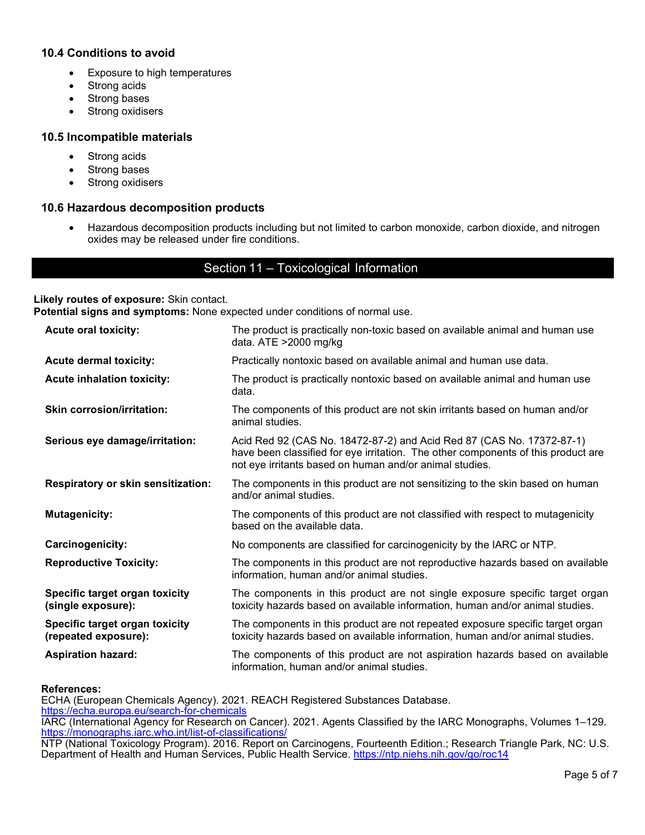# **10.4 Conditions to avoid**

- Exposure to high temperatures
- Strong acids
- Strong bases
- Strong oxidisers

# **10.5 Incompatible materials**

- Strong acids
- Strong bases
- Strong oxidisers

#### **10.6 Hazardous decomposition products**

• Hazardous decomposition products including but not limited to carbon monoxide, carbon dioxide, and nitrogen oxides may be released under fire conditions.

# Section 11 – Toxicological Information

#### **Likely routes of exposure:** Skin contact.

**Potential signs and symptoms:** None expected under conditions of normal use.

| <b>Acute oral toxicity:</b>                            | The product is practically non-toxic based on available animal and human use<br>data. ATE >2000 mg/kg                                                                                                                 |
|--------------------------------------------------------|-----------------------------------------------------------------------------------------------------------------------------------------------------------------------------------------------------------------------|
| <b>Acute dermal toxicity:</b>                          | Practically nontoxic based on available animal and human use data.                                                                                                                                                    |
| <b>Acute inhalation toxicity:</b>                      | The product is practically nontoxic based on available animal and human use<br>data.                                                                                                                                  |
| <b>Skin corrosion/irritation:</b>                      | The components of this product are not skin irritants based on human and/or<br>animal studies.                                                                                                                        |
| Serious eye damage/irritation:                         | Acid Red 92 (CAS No. 18472-87-2) and Acid Red 87 (CAS No. 17372-87-1)<br>have been classified for eye irritation. The other components of this product are<br>not eye irritants based on human and/or animal studies. |
| <b>Respiratory or skin sensitization:</b>              | The components in this product are not sensitizing to the skin based on human<br>and/or animal studies.                                                                                                               |
| <b>Mutagenicity:</b>                                   | The components of this product are not classified with respect to mutagenicity<br>based on the available data.                                                                                                        |
| Carcinogenicity:                                       | No components are classified for carcinogenicity by the IARC or NTP.                                                                                                                                                  |
| <b>Reproductive Toxicity:</b>                          | The components in this product are not reproductive hazards based on available<br>information, human and/or animal studies.                                                                                           |
| Specific target organ toxicity<br>(single exposure):   | The components in this product are not single exposure specific target organ<br>toxicity hazards based on available information, human and/or animal studies.                                                         |
| Specific target organ toxicity<br>(repeated exposure): | The components in this product are not repeated exposure specific target organ<br>toxicity hazards based on available information, human and/or animal studies.                                                       |
| <b>Aspiration hazard:</b>                              | The components of this product are not aspiration hazards based on available<br>information, human and/or animal studies.                                                                                             |

#### **References:**

ECHA (European Chemicals Agency). 2021. REACH Registered Substances Database. <https://echa.europa.eu/search-for-chemicals> IARC (International Agency for Research on Cancer). 2021. Agents Classified by the IARC Monographs, Volumes 1–129. <https://monographs.iarc.who.int/list-of-classifications/> NTP (National Toxicology Program). 2016. Report on Carcinogens, Fourteenth Edition.; Research Triangle Park, NC: U.S. Department of Health and Human Services, Public Health Service.<https://ntp.niehs.nih.gov/go/roc14>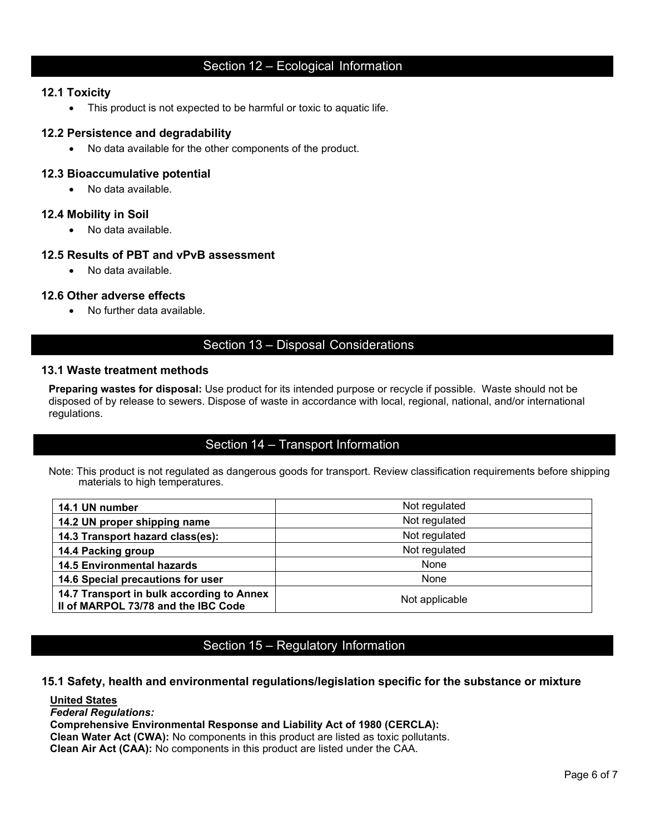# Section 12 – Ecological Information

# **12.1 Toxicity**

• This product is not expected to be harmful or toxic to aquatic life.

### **12.2 Persistence and degradability**

• No data available for the other components of the product.

# **12.3 Bioaccumulative potential**

• No data available.

#### **12.4 Mobility in Soil**

• No data available.

# **12.5 Results of PBT and vPvB assessment**

• No data available.

#### **12.6 Other adverse effects**

• No further data available.

# Section 13 – Disposal Considerations

#### **13.1 Waste treatment methods**

**Preparing wastes for disposal:** Use product for its intended purpose or recycle if possible. Waste should not be disposed of by release to sewers. Dispose of waste in accordance with local, regional, national, and/or international regulations.

# Section 14 – Transport Information

Note: This product is not regulated as dangerous goods for transport. Review classification requirements before shipping materials to high temperatures.

| 14.1 UN number                                                                   | Not regulated  |
|----------------------------------------------------------------------------------|----------------|
| 14.2 UN proper shipping name                                                     | Not regulated  |
| 14.3 Transport hazard class(es):                                                 | Not regulated  |
| 14.4 Packing group                                                               | Not regulated  |
| <b>14.5 Environmental hazards</b>                                                | None           |
| 14.6 Special precautions for user                                                | None           |
| 14.7 Transport in bulk according to Annex<br>II of MARPOL 73/78 and the IBC Code | Not applicable |

# Section 15 – Regulatory Information

# **15.1 Safety, health and environmental regulations/legislation specific for the substance or mixture**

#### **United States**

*Federal Regulations:*

# **Comprehensive Environmental Response and Liability Act of 1980 (CERCLA):**

**Clean Water Act (CWA):** No components in this product are listed as toxic pollutants.

**Clean Air Act (CAA):** No components in this product are listed under the CAA.